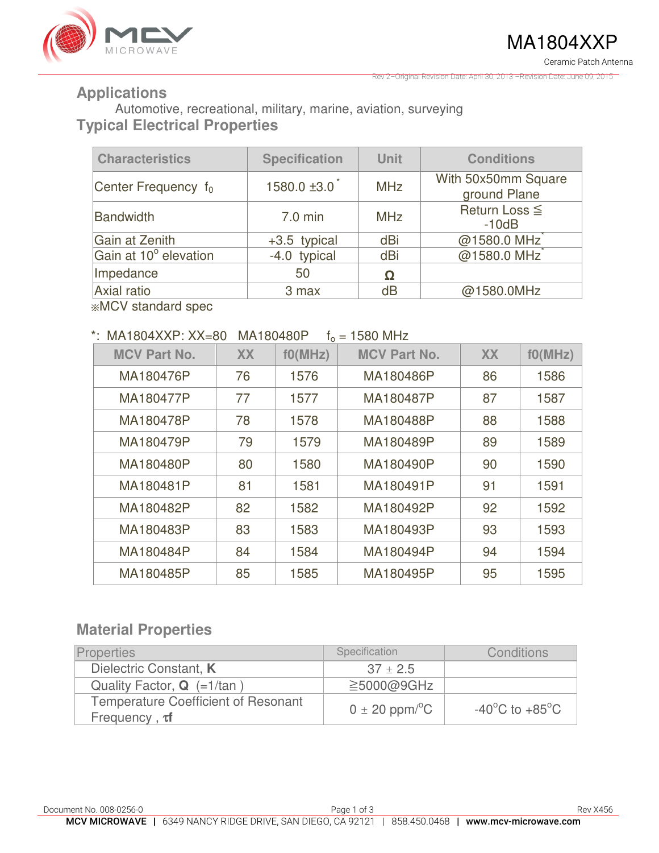

Rev 2–Original Revision Date: April 30, 2013 –Revision Date: June 09, 2015

## **Applications**

Automotive, recreational, military, marine, aviation, surveying **Typical Electrical Properties** 

| <b>Characteristics</b> | <b>Specification</b> | <b>Unit</b> | <b>Conditions</b>                   |
|------------------------|----------------------|-------------|-------------------------------------|
| Center Frequency $f_0$ | $1580.0 \pm 3.0$     | <b>MHz</b>  | With 50x50mm Square<br>ground Plane |
| Bandwidth              | $7.0$ min            | <b>MHz</b>  | Return Loss ≦<br>$-10dB$            |
| Gain at Zenith         | +3.5 typical         | dBi         | @1580.0 MHz                         |
| Gain at 10° elevation  | -4.0 typical         | dBi         | @1580.0 MHz                         |
| Impedance              | 50                   | Ω           |                                     |
| Axial ratio            | 3 max                | dB          | @1580.0MHz                          |

※MCV standard spec

#### \*: MA1804XXP:  $XX = 80$  MA180480P  $f_0 = 1580$  MHz

| <b>MCV Part No.</b> | <b>XX</b> | f0(MHz) | <b>MCV Part No.</b> | <b>XX</b> | f0(MHz) |  |
|---------------------|-----------|---------|---------------------|-----------|---------|--|
| MA180476P           | 76        | 1576    | MA180486P           | 86        | 1586    |  |
| MA180477P           | 77        | 1577    | MA180487P           | 87        | 1587    |  |
| MA180478P           | 78        | 1578    | MA180488P           | 88        | 1588    |  |
| MA180479P           | 79        | 1579    | MA180489P           | 89        | 1589    |  |
| MA180480P           | 80        | 1580    | MA180490P           | 90        | 1590    |  |
| MA180481P           | 81        | 1581    | MA180491P           | 91        | 1591    |  |
| MA180482P           | 82        | 1582    | MA180492P           | 92        | 1592    |  |
| MA180483P           | 83        | 1583    | MA180493P           | 93        | 1593    |  |
| MA180484P           | 84        | 1584    | MA180494P           | 94        | 1594    |  |
| MA180485P           | 85        | 1585    | MA180495P           | 95        | 1595    |  |

## **Material Properties**

| <b>Properties</b>                                                 | Specification                  | Conditions                         |
|-------------------------------------------------------------------|--------------------------------|------------------------------------|
| Dielectric Constant, K                                            | $37 \pm 2.5$                   |                                    |
| Quality Factor, $Q$ (=1/tan)                                      | $\geq$ 5000@9GHz               |                                    |
| <b>Temperature Coefficient of Resonant</b><br>Frequency, $\tau f$ | $0 \pm 20$ ppm/ <sup>o</sup> C | $-40^{\circ}$ C to $+85^{\circ}$ C |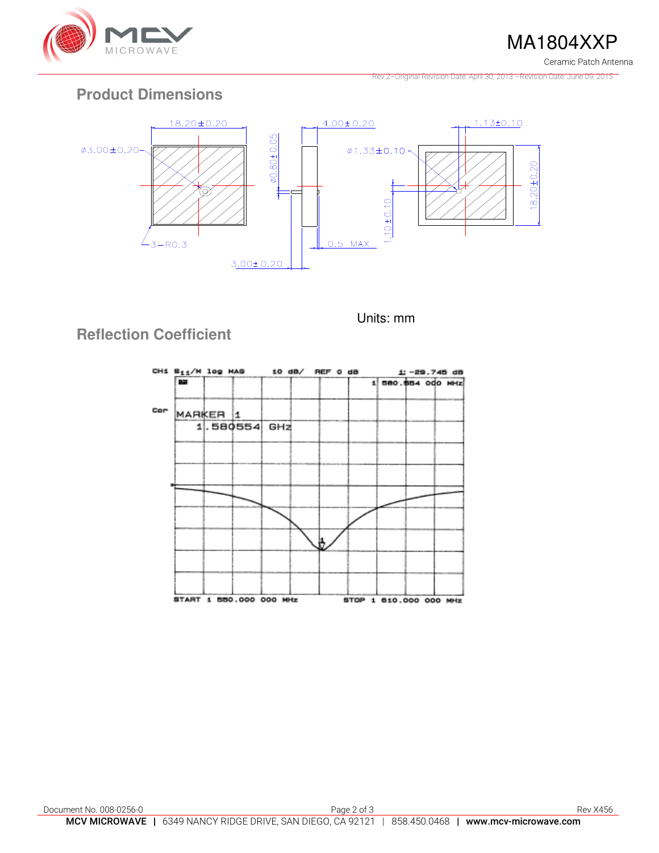

MA1804XXP

Ceramic Patch Antenna

Rev 2–Original Revision Date: April 30, 2013 –Revision Date: June 09, 2015

## **Product Dimensions**



Units: mm

# **Reflection Coefficient**